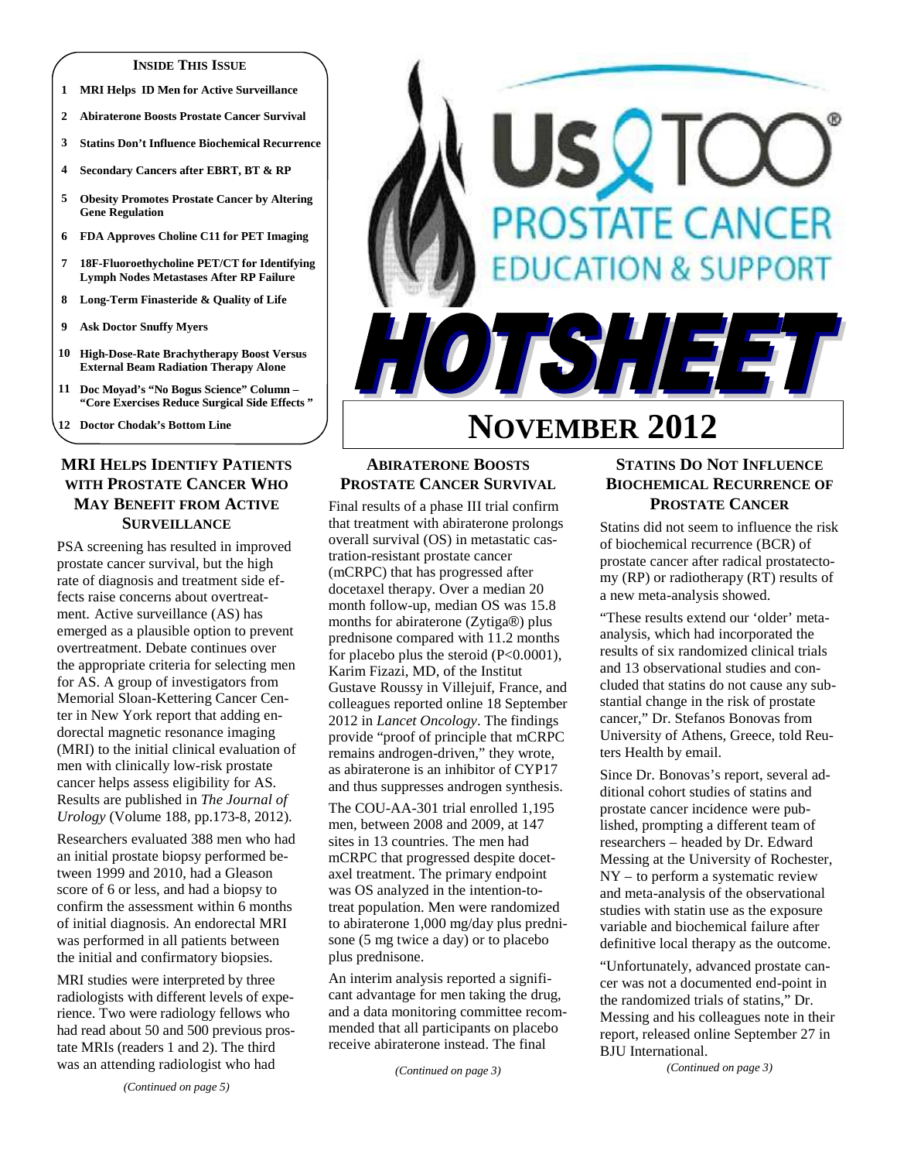#### **INSIDE THIS ISSUE**

- **1 MRI Helps ID Men for Active Surveillance**
- **2 Abiraterone Boosts Prostate Cancer Survival**
- **3 Statins Don't Influence Biochemical Recurrence**
- **4 Secondary Cancers after EBRT, BT & RP**
- **5 Obesity Promotes Prostate Cancer by Altering Gene Regulation**
- **6 FDA Approves Choline C11 for PET Imaging**
- **7 18F-Fluoroethycholine PET/CT for Identifying Lymph Nodes Metastases After RP Failure**
- **8 Long-Term Finasteride & Quality of Life**
- **9 Ask Doctor Snuffy Myers**
- **10 High-Dose-Rate Brachytherapy Boost Versus External Beam Radiation Therapy Alone**
- **11 Doc Moyad's "No Bogus Science" Column "Core Exercises Reduce Surgical Side Effects "**
- **12 Doctor Chodak's Bottom Line**

# **MRI HELPS IDENTIFY PATIENTS WITH PROSTATE CANCER WHO MAY BENEFIT FROM ACTIVE SURVEILLANCE**

PSA screening has resulted in improved prostate cancer survival, but the high rate of diagnosis and treatment side effects raise concerns about overtreatment. Active surveillance (AS) has emerged as a plausible option to prevent overtreatment. Debate continues over the appropriate criteria for selecting men for AS. A group of investigators from Memorial Sloan-Kettering Cancer Center in New York report that adding endorectal magnetic resonance imaging (MRI) to the initial clinical evaluation of men with clinically low-risk prostate cancer helps assess eligibility for AS. Results are published in *The Journal of Urology* (Volume 188, pp.173-8, 2012).

Researchers evaluated 388 men who had an initial prostate biopsy performed between 1999 and 2010, had a Gleason score of 6 or less, and had a biopsy to confirm the assessment within 6 months of initial diagnosis. An endorectal MRI was performed in all patients between the initial and confirmatory biopsies.

MRI studies were interpreted by three radiologists with different levels of experience. Two were radiology fellows who had read about 50 and 500 previous prostate MRIs (readers 1 and 2). The third was an attending radiologist who had

# SQTC **PROSTATE CANCER ATION & SUPPORT** TSHEET

# **NOVEMBER 2012**

# **ABIRATERONE BOOSTS PROSTATE CANCER SURVIVAL**

Final results of a phase III trial confirm that treatment with abiraterone prolongs overall survival (OS) in metastatic castration-resistant prostate cancer (mCRPC) that has progressed after docetaxel therapy. Over a median 20 month follow-up, median OS was 15.8 months for abiraterone (Zytiga®) plus prednisone compared with 11.2 months for placebo plus the steroid  $(P<0.0001)$ , Karim Fizazi, MD, of the Institut Gustave Roussy in Villejuif, France, and colleagues reported online 18 September 2012 in *Lancet Oncology*. The findings provide "proof of principle that mCRPC remains androgen-driven," they wrote, as abiraterone is an inhibitor of CYP17 and thus suppresses androgen synthesis.

The COU-AA-301 trial enrolled 1,195 men, between 2008 and 2009, at 147 sites in 13 countries. The men had mCRPC that progressed despite docetaxel treatment. The primary endpoint was OS analyzed in the intention-totreat population. Men were randomized to abiraterone 1,000 mg/day plus prednisone (5 mg twice a day) or to placebo plus prednisone.

An interim analysis reported a significant advantage for men taking the drug, and a data monitoring committee recommended that all participants on placebo receive abiraterone instead. The final

*(Continued on page 3)* 

# **STATINS DO NOT INFLUENCE BIOCHEMICAL RECURRENCE OF PROSTATE CANCER**

Statins did not seem to influence the risk of biochemical recurrence (BCR) of prostate cancer after radical prostatectomy (RP) or radiotherapy (RT) results of a new meta-analysis showed.

"These results extend our 'older' metaanalysis, which had incorporated the results of six randomized clinical trials and 13 observational studies and concluded that statins do not cause any substantial change in the risk of prostate cancer," Dr. Stefanos Bonovas from University of Athens, Greece, told Reuters Health by email.

Since Dr. Bonovas's report, several additional cohort studies of statins and prostate cancer incidence were published, prompting a different team of researchers – headed by Dr. Edward Messing at the University of Rochester, NY – to perform a systematic review and meta-analysis of the observational studies with statin use as the exposure variable and biochemical failure after definitive local therapy as the outcome.

"Unfortunately, advanced prostate cancer was not a documented end-point in the randomized trials of statins," Dr. Messing and his colleagues note in their report, released online September 27 in BJU International.

*(Continued on page 3)*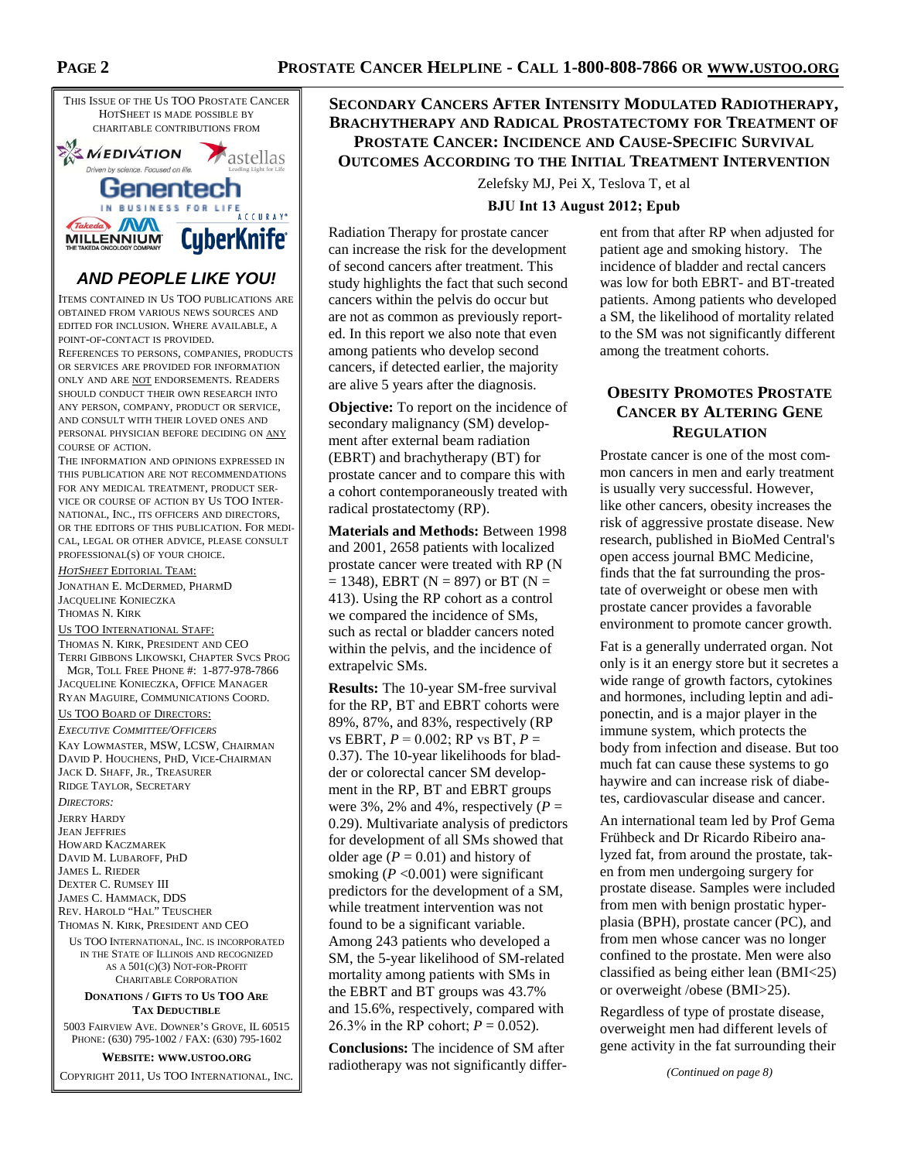

# **AND PEOPLE LIKE YOU!**

ITEMS CONTAINED IN US TOO PUBLICATIONS ARE OBTAINED FROM VARIOUS NEWS SOURCES AND EDITED FOR INCLUSION. WHERE AVAILABLE, A POINT-OF-CONTACT IS PROVIDED.

REFERENCES TO PERSONS, COMPANIES, PRODUCTS OR SERVICES ARE PROVIDED FOR INFORMATION ONLY AND ARE NOT ENDORSEMENTS. READERS SHOULD CONDUCT THEIR OWN RESEARCH INTO ANY PERSON, COMPANY, PRODUCT OR SERVICE, AND CONSULT WITH THEIR LOVED ONES AND PERSONAL PHYSICIAN BEFORE DECIDING ON ANY COURSE OF ACTION.

THE INFORMATION AND OPINIONS EXPRESSED IN THIS PUBLICATION ARE NOT RECOMMENDATIONS FOR ANY MEDICAL TREATMENT, PRODUCT SER-VICE OR COURSE OF ACTION BY US TOO INTER-NATIONAL, INC., ITS OFFICERS AND DIRECTORS, OR THE EDITORS OF THIS PUBLICATION. FOR MEDI-CAL, LEGAL OR OTHER ADVICE, PLEASE CONSULT PROFESSIONAL(S) OF YOUR CHOICE.

*HOTSHEET* EDITORIAL TEAM: JONATHAN E. MCDERMED, PHARMD JACQUELINE KONIECZKA THOMAS N. KIRK US TOO INTERNATIONAL STAFF: THOMAS N. KIRK, PRESIDENT AND CEO TERRI GIBBONS LIKOWSKI, CHAPTER SVCS PROG MGR, TOLL FREE PHONE #: 1-877-978-7866 JACQUELINE KONIECZKA, OFFICE MANAGER RYAN MAGUIRE, COMMUNICATIONS COORD.

#### US TOO BOARD OF DIRECTORS:

*EXECUTIVE COMMITTEE/OFFICERS* KAY LOWMASTER, MSW, LCSW, CHAIRMAN DAVID P. HOUCHENS, PHD, VICE-CHAIRMAN JACK D. SHAFF, JR., TREASURER RIDGE TAYLOR, SECRETARY

*DIRECTORS:*  JERRY HARDY JEAN JEFFRIES HOWARD KACZMAREK DAVID M. LUBAROFF, PHD JAMES L. RIEDER DEXTER C. RUMSEY III JAMES C. HAMMACK, DDS REV. HAROLD "HAL" TEUSCHER

THOMAS N. KIRK, PRESIDENT AND CEO

US TOO INTERNATIONAL, INC. IS INCORPORATED IN THE STATE OF ILLINOIS AND RECOGNIZED AS A 501(C)(3) NOT-FOR-PROFIT CHARITABLE CORPORATION

#### **DONATIONS / GIFTS TO US TOO ARE TAX DEDUCTIBLE**

5003 FAIRVIEW AVE. DOWNER'S GROVE, IL 60515 PHONE: (630) 795-1002 / FAX: (630) 795-1602

**WEBSITE: WWW.USTOO.ORG**

COPYRIGHT 2011, US TOO INTERNATIONAL, INC.

# **SECONDARY CANCERS AFTER INTENSITY MODULATED RADIOTHERAPY, BRACHYTHERAPY AND RADICAL PROSTATECTOMY FOR TREATMENT OF PROSTATE CANCER: INCIDENCE AND CAUSE-SPECIFIC SURVIVAL OUTCOMES ACCORDING TO THE INITIAL TREATMENT INTERVENTION**

Zelefsky MJ, Pei X, Teslova T, et al **BJU Int 13 August 2012; Epub** 

Radiation Therapy for prostate cancer can increase the risk for the development of second cancers after treatment. This study highlights the fact that such second cancers within the pelvis do occur but are not as common as previously reported. In this report we also note that even among patients who develop second cancers, if detected earlier, the majority are alive 5 years after the diagnosis.

**Objective:** To report on the incidence of secondary malignancy (SM) development after external beam radiation (EBRT) and brachytherapy (BT) for prostate cancer and to compare this with a cohort contemporaneously treated with radical prostatectomy (RP).

**Materials and Methods:** Between 1998 and 2001, 2658 patients with localized prostate cancer were treated with RP (N  $= 1348$ ), EBRT (N = 897) or BT (N = 413). Using the RP cohort as a control we compared the incidence of SMs, such as rectal or bladder cancers noted within the pelvis, and the incidence of extrapelvic SMs.

**Results:** The 10-year SM-free survival for the RP, BT and EBRT cohorts were 89%, 87%, and 83%, respectively (RP vs EBRT, *P* = 0.002; RP vs BT, *P* = 0.37). The 10-year likelihoods for bladder or colorectal cancer SM development in the RP, BT and EBRT groups were 3%, 2% and 4%, respectively  $(P =$ 0.29). Multivariate analysis of predictors for development of all SMs showed that older age  $(P = 0.01)$  and history of smoking  $(P<0.001)$  were significant predictors for the development of a SM, while treatment intervention was not found to be a significant variable. Among 243 patients who developed a SM, the 5-year likelihood of SM-related mortality among patients with SMs in the EBRT and BT groups was 43.7% and 15.6%, respectively, compared with 26.3% in the RP cohort;  $P = 0.052$ ).

**Conclusions:** The incidence of SM after radiotherapy was not significantly different from that after RP when adjusted for patient age and smoking history. The incidence of bladder and rectal cancers was low for both EBRT- and BT-treated patients. Among patients who developed a SM, the likelihood of mortality related to the SM was not significantly different among the treatment cohorts.

# **OBESITY PROMOTES PROSTATE CANCER BY ALTERING GENE REGULATION**

Prostate cancer is one of the most common cancers in men and early treatment is usually very successful. However, like other cancers, obesity increases the risk of aggressive prostate disease. New research, published in BioMed Central's open access journal BMC Medicine, finds that the fat surrounding the prostate of overweight or obese men with prostate cancer provides a favorable environment to promote cancer growth.

Fat is a generally underrated organ. Not only is it an energy store but it secretes a wide range of growth factors, cytokines and hormones, including leptin and adiponectin, and is a major player in the immune system, which protects the body from infection and disease. But too much fat can cause these systems to go haywire and can increase risk of diabetes, cardiovascular disease and cancer.

An international team led by Prof Gema Frühbeck and Dr Ricardo Ribeiro analyzed fat, from around the prostate, taken from men undergoing surgery for prostate disease. Samples were included from men with benign prostatic hyperplasia (BPH), prostate cancer (PC), and from men whose cancer was no longer confined to the prostate. Men were also classified as being either lean (BMI<25) or overweight /obese (BMI>25).

Regardless of type of prostate disease, overweight men had different levels of gene activity in the fat surrounding their

*(Continued on page 8)*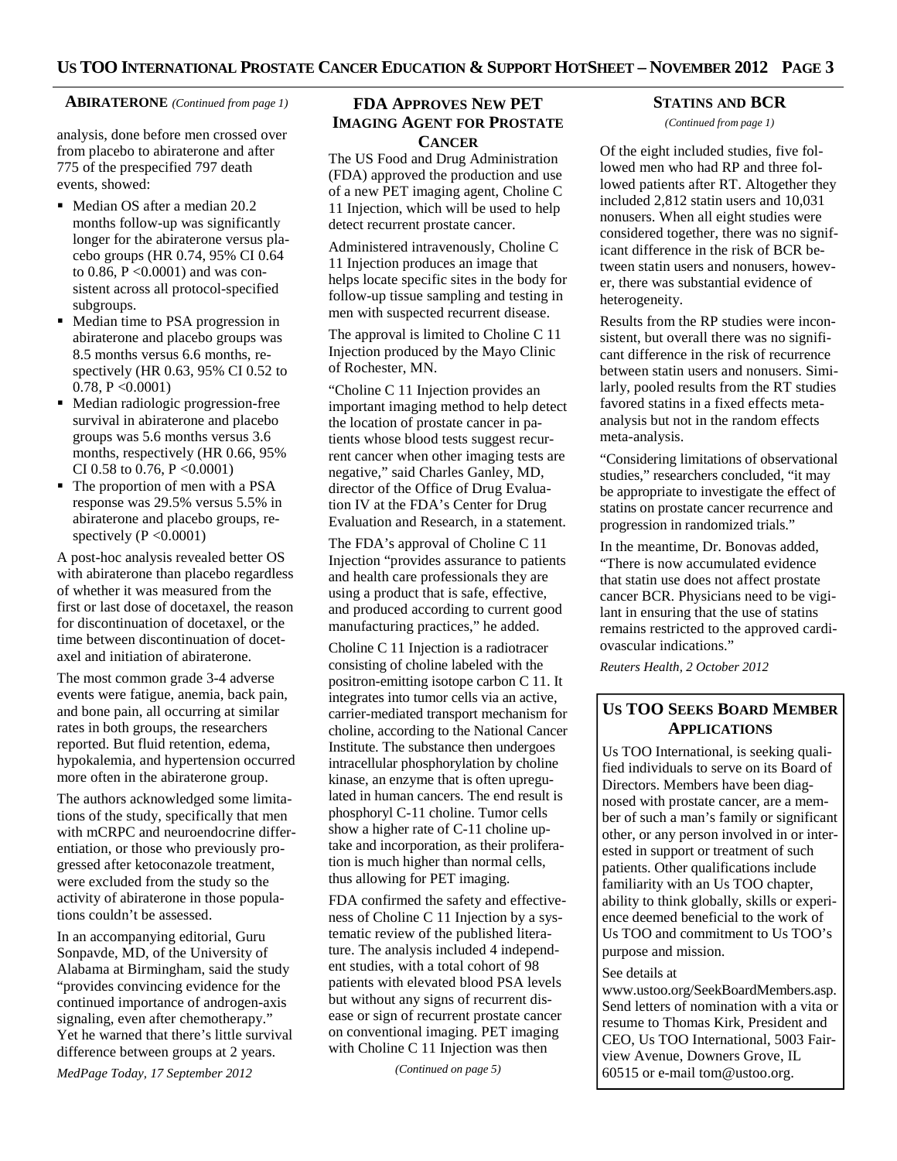#### **ABIRATERONE** *(Continued from page 1)* **FDA APPROVES NEW PET**

analysis, done before men crossed over from placebo to abiraterone and after 775 of the prespecified 797 death events, showed:

- Median OS after a median 20.2 months follow-up was significantly longer for the abiraterone versus placebo groups (HR 0.74, 95% CI 0.64 to 0.86, P <0.0001) and was consistent across all protocol-specified subgroups.
- Median time to PSA progression in abiraterone and placebo groups was 8.5 months versus 6.6 months, respectively (HR 0.63, 95% CI 0.52 to 0.78, P <0.0001)
- Median radiologic progression-free survival in abiraterone and placebo groups was 5.6 months versus 3.6 months, respectively (HR 0.66, 95% CI 0.58 to 0.76, P <0.0001)
- The proportion of men with a PSA response was 29.5% versus 5.5% in abiraterone and placebo groups, respectively  $(P \le 0.0001)$

A post-hoc analysis revealed better OS with abiraterone than placebo regardless of whether it was measured from the first or last dose of docetaxel, the reason for discontinuation of docetaxel, or the time between discontinuation of docetaxel and initiation of abiraterone.

The most common grade 3-4 adverse events were fatigue, anemia, back pain, and bone pain, all occurring at similar rates in both groups, the researchers reported. But fluid retention, edema, hypokalemia, and hypertension occurred more often in the abiraterone group.

The authors acknowledged some limitations of the study, specifically that men with mCRPC and neuroendocrine differentiation, or those who previously progressed after ketoconazole treatment, were excluded from the study so the activity of abiraterone in those populations couldn't be assessed.

In an accompanying editorial, Guru Sonpavde, MD, of the University of Alabama at Birmingham, said the study "provides convincing evidence for the continued importance of androgen-axis signaling, even after chemotherapy." Yet he warned that there's little survival difference between groups at 2 years.

*MedPage Today, 17 September 2012* 

# **IMAGING AGENT FOR PROSTATE CANCER**

The US Food and Drug Administration (FDA) approved the production and use of a new PET imaging agent, Choline C 11 Injection, which will be used to help detect recurrent prostate cancer.

Administered intravenously, Choline C 11 Injection produces an image that helps locate specific sites in the body for follow-up tissue sampling and testing in men with suspected recurrent disease.

The approval is limited to Choline C 11 Injection produced by the Mayo Clinic of Rochester, MN.

"Choline C 11 Injection provides an important imaging method to help detect the location of prostate cancer in patients whose blood tests suggest recurrent cancer when other imaging tests are negative," said Charles Ganley, MD, director of the Office of Drug Evaluation IV at the FDA's Center for Drug Evaluation and Research, in a statement.

The FDA's approval of Choline C 11 Injection "provides assurance to patients and health care professionals they are using a product that is safe, effective, and produced according to current good manufacturing practices," he added.

Choline C 11 Injection is a radiotracer consisting of choline labeled with the positron-emitting isotope carbon C 11. It integrates into tumor cells via an active, carrier-mediated transport mechanism for choline, according to the National Cancer Institute. The substance then undergoes intracellular phosphorylation by choline kinase, an enzyme that is often upregulated in human cancers. The end result is phosphoryl C-11 choline. Tumor cells show a higher rate of C-11 choline uptake and incorporation, as their proliferation is much higher than normal cells, thus allowing for PET imaging.

FDA confirmed the safety and effectiveness of Choline C 11 Injection by a systematic review of the published literature. The analysis included 4 independent studies, with a total cohort of 98 patients with elevated blood PSA levels but without any signs of recurrent disease or sign of recurrent prostate cancer on conventional imaging. PET imaging with Choline C 11 Injection was then

*(Continued on page 5)* 

# **STATINS AND BCR**

*(Continued from page 1)* 

Of the eight included studies, five followed men who had RP and three followed patients after RT. Altogether they included 2,812 statin users and 10,031 nonusers. When all eight studies were considered together, there was no significant difference in the risk of BCR between statin users and nonusers, however, there was substantial evidence of heterogeneity.

Results from the RP studies were inconsistent, but overall there was no significant difference in the risk of recurrence between statin users and nonusers. Similarly, pooled results from the RT studies favored statins in a fixed effects metaanalysis but not in the random effects meta-analysis.

"Considering limitations of observational studies," researchers concluded, "it may be appropriate to investigate the effect of statins on prostate cancer recurrence and progression in randomized trials."

In the meantime, Dr. Bonovas added, "There is now accumulated evidence that statin use does not affect prostate cancer BCR. Physicians need to be vigilant in ensuring that the use of statins remains restricted to the approved cardiovascular indications."

*Reuters Health, 2 October 2012* 

# **US TOO SEEKS BOARD MEMBER APPLICATIONS**

Us TOO International, is seeking qualified individuals to serve on its Board of Directors. Members have been diagnosed with prostate cancer, are a member of such a man's family or significant other, or any person involved in or interested in support or treatment of such patients. Other qualifications include familiarity with an Us TOO chapter, ability to think globally, skills or experience deemed beneficial to the work of Us TOO and commitment to Us TOO's purpose and mission.

#### See details at

www.ustoo.org/SeekBoardMembers.asp. Send letters of nomination with a vita or resume to Thomas Kirk, President and CEO, Us TOO International, 5003 Fairview Avenue, Downers Grove, IL 60515 or e-mail tom@ustoo.org.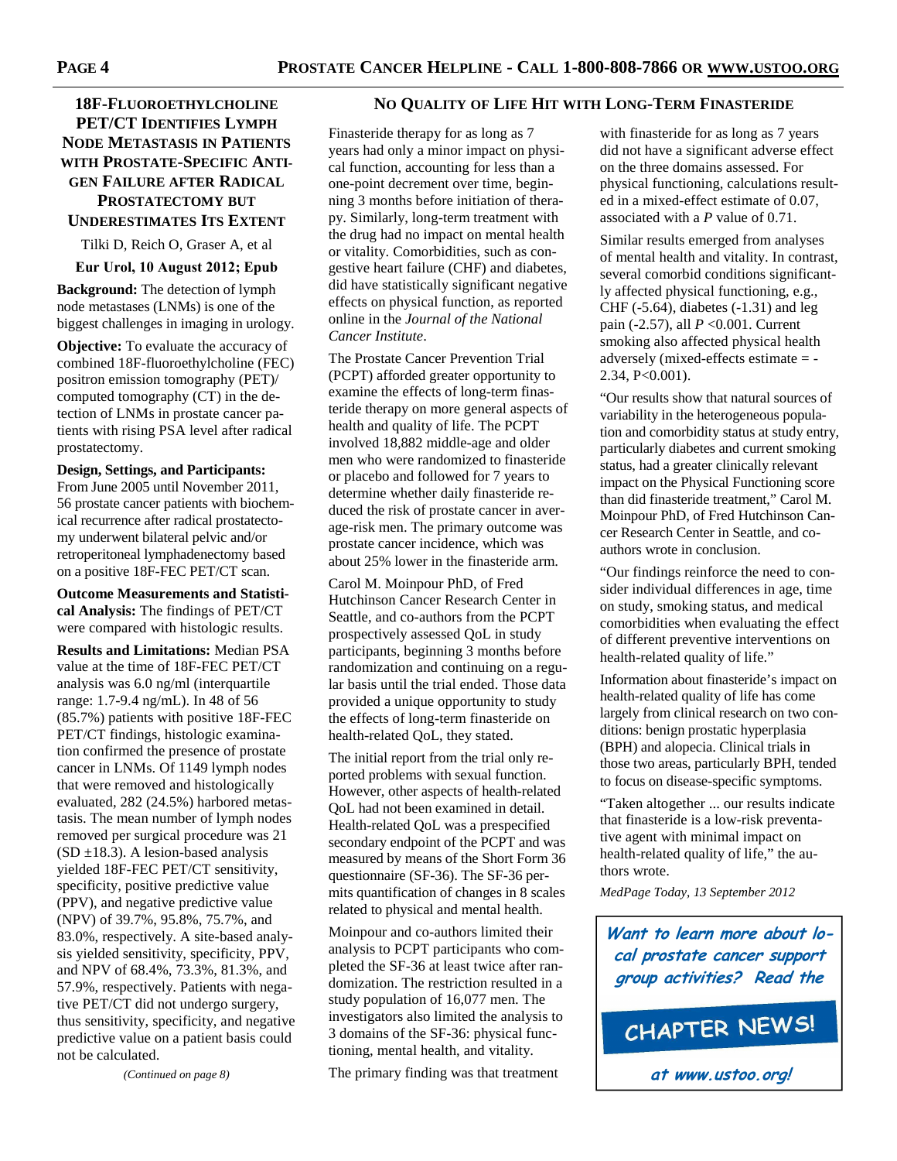# **18F-FLUOROETHYLCHOLINE PET/CT IDENTIFIES LYMPH NODE METASTASIS IN PATIENTS WITH PROSTATE-SPECIFIC ANTI-GEN FAILURE AFTER RADICAL PROSTATECTOMY BUT UNDERESTIMATES ITS EXTENT**

Tilki D, Reich O, Graser A, et al

**Eur Urol, 10 August 2012; Epub** 

**Background:** The detection of lymph node metastases (LNMs) is one of the biggest challenges in imaging in urology.

**Objective:** To evaluate the accuracy of combined 18F-fluoroethylcholine (FEC) positron emission tomography (PET)/ computed tomography (CT) in the detection of LNMs in prostate cancer patients with rising PSA level after radical prostatectomy.

#### **Design, Settings, and Participants:**

From June 2005 until November 2011, 56 prostate cancer patients with biochemical recurrence after radical prostatectomy underwent bilateral pelvic and/or retroperitoneal lymphadenectomy based on a positive 18F-FEC PET/CT scan.

**Outcome Measurements and Statistical Analysis:** The findings of PET/CT were compared with histologic results.

**Results and Limitations:** Median PSA value at the time of 18F-FEC PET/CT analysis was 6.0 ng/ml (interquartile range: 1.7-9.4 ng/mL). In 48 of 56 (85.7%) patients with positive 18F-FEC PET/CT findings, histologic examination confirmed the presence of prostate cancer in LNMs. Of 1149 lymph nodes that were removed and histologically evaluated, 282 (24.5%) harbored metastasis. The mean number of lymph nodes removed per surgical procedure was 21  $(SD \pm 18.3)$ . A lesion-based analysis yielded 18F-FEC PET/CT sensitivity, specificity, positive predictive value (PPV), and negative predictive value (NPV) of 39.7%, 95.8%, 75.7%, and 83.0%, respectively. A site-based analysis yielded sensitivity, specificity, PPV, and NPV of 68.4%, 73.3%, 81.3%, and 57.9%, respectively. Patients with negative PET/CT did not undergo surgery, thus sensitivity, specificity, and negative predictive value on a patient basis could not be calculated.

*(Continued on page 8)* 

#### **NO QUALITY OF LIFE HIT WITH LONG-TERM FINASTERIDE**

Finasteride therapy for as long as 7 years had only a minor impact on physical function, accounting for less than a one-point decrement over time, beginning 3 months before initiation of therapy. Similarly, long-term treatment with the drug had no impact on mental health or vitality. Comorbidities, such as congestive heart failure (CHF) and diabetes, did have statistically significant negative effects on physical function, as reported online in the *Journal of the National Cancer Institute*.

The Prostate Cancer Prevention Trial (PCPT) afforded greater opportunity to examine the effects of long-term finasteride therapy on more general aspects of health and quality of life. The PCPT involved 18,882 middle-age and older men who were randomized to finasteride or placebo and followed for 7 years to determine whether daily finasteride reduced the risk of prostate cancer in average-risk men. The primary outcome was prostate cancer incidence, which was about 25% lower in the finasteride arm.

Carol M. Moinpour PhD, of Fred Hutchinson Cancer Research Center in Seattle, and co-authors from the PCPT prospectively assessed QoL in study participants, beginning 3 months before randomization and continuing on a regular basis until the trial ended. Those data provided a unique opportunity to study the effects of long-term finasteride on health-related QoL, they stated.

The initial report from the trial only reported problems with sexual function. However, other aspects of health-related QoL had not been examined in detail. Health-related QoL was a prespecified secondary endpoint of the PCPT and was measured by means of the Short Form 36 questionnaire (SF-36). The SF-36 permits quantification of changes in 8 scales related to physical and mental health.

Moinpour and co-authors limited their analysis to PCPT participants who completed the SF-36 at least twice after randomization. The restriction resulted in a study population of 16,077 men. The investigators also limited the analysis to 3 domains of the SF-36: physical functioning, mental health, and vitality.

The primary finding was that treatment

with finasteride for as long as 7 years did not have a significant adverse effect on the three domains assessed. For physical functioning, calculations resulted in a mixed-effect estimate of 0.07, associated with a *P* value of 0.71.

Similar results emerged from analyses of mental health and vitality. In contrast, several comorbid conditions significantly affected physical functioning, e.g., CHF (-5.64), diabetes (-1.31) and leg pain (-2.57), all *P* <0.001. Current smoking also affected physical health adversely (mixed-effects estimate = - 2.34, P<0.001).

"Our results show that natural sources of variability in the heterogeneous population and comorbidity status at study entry, particularly diabetes and current smoking status, had a greater clinically relevant impact on the Physical Functioning score than did finasteride treatment," Carol M. Moinpour PhD, of Fred Hutchinson Cancer Research Center in Seattle, and coauthors wrote in conclusion.

"Our findings reinforce the need to consider individual differences in age, time on study, smoking status, and medical comorbidities when evaluating the effect of different preventive interventions on health-related quality of life."

Information about finasteride's impact on health-related quality of life has come largely from clinical research on two conditions: benign prostatic hyperplasia (BPH) and alopecia. Clinical trials in those two areas, particularly BPH, tended to focus on disease-specific symptoms.

"Taken altogether ... our results indicate that finasteride is a low-risk preventative agent with minimal impact on health-related quality of life," the authors wrote.

*MedPage Today, 13 September 2012* 

**Want to learn more about local prostate cancer support group activities? Read the**

```
CHAPTER NEWS!
```
**at www.ustoo.org!**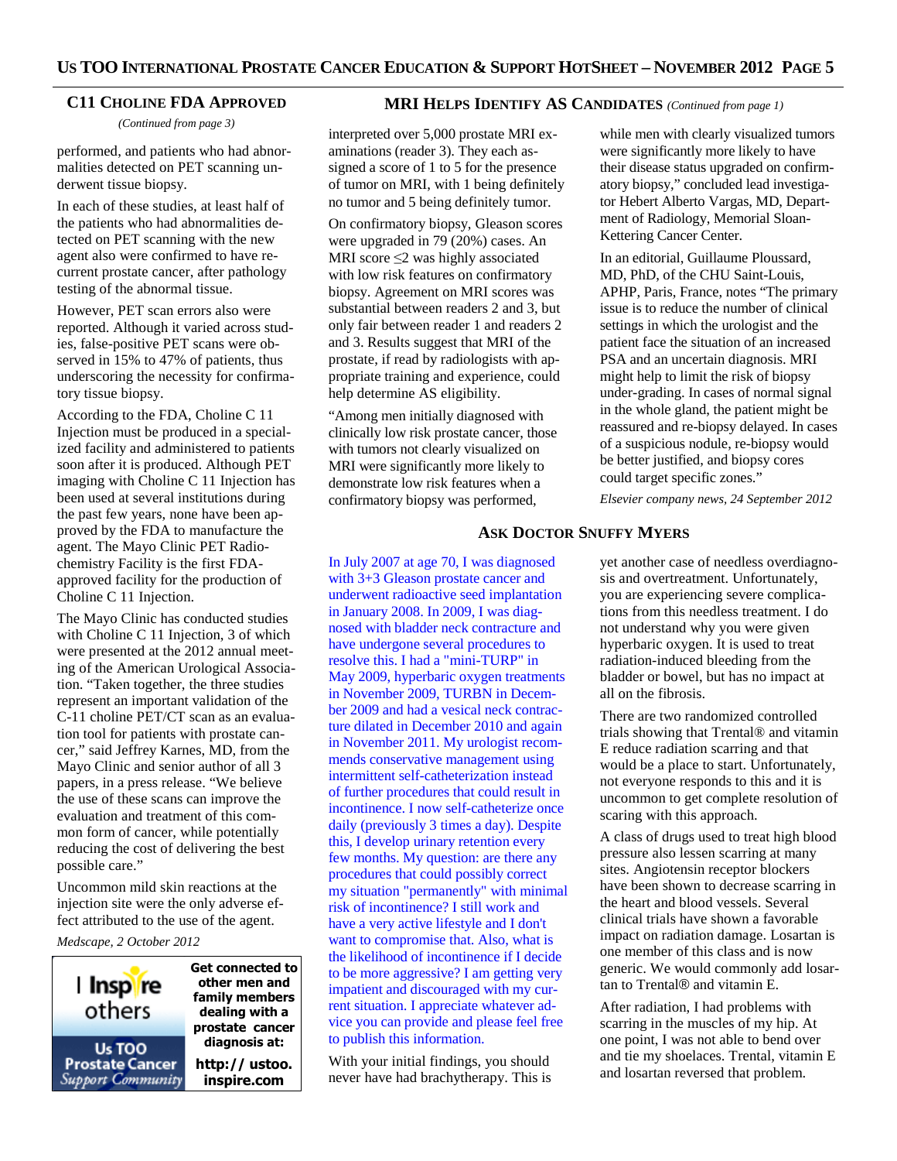#### **C11 CHOLINE FDA APPROVED**

*(Continued from page 3)* 

performed, and patients who had abnormalities detected on PET scanning underwent tissue biopsy.

In each of these studies, at least half of the patients who had abnormalities detected on PET scanning with the new agent also were confirmed to have recurrent prostate cancer, after pathology testing of the abnormal tissue.

However, PET scan errors also were reported. Although it varied across studies, false-positive PET scans were observed in 15% to 47% of patients, thus underscoring the necessity for confirmatory tissue biopsy.

According to the FDA, Choline C 11 Injection must be produced in a specialized facility and administered to patients soon after it is produced. Although PET imaging with Choline C 11 Injection has been used at several institutions during the past few years, none have been approved by the FDA to manufacture the agent. The Mayo Clinic PET Radiochemistry Facility is the first FDAapproved facility for the production of Choline C 11 Injection.

The Mayo Clinic has conducted studies with Choline C 11 Injection, 3 of which were presented at the 2012 annual meeting of the American Urological Association. "Taken together, the three studies represent an important validation of the C-11 choline PET/CT scan as an evaluation tool for patients with prostate cancer," said Jeffrey Karnes, MD, from the Mayo Clinic and senior author of all 3 papers, in a press release. "We believe the use of these scans can improve the evaluation and treatment of this common form of cancer, while potentially reducing the cost of delivering the best possible care."

Uncommon mild skin reactions at the injection site were the only adverse effect attributed to the use of the agent.

*Medscape, 2 October 2012* 



**Get connected to other men and family members dealing with a prostate cancer diagnosis at: http:// ustoo. inspire.com**

# **MRI HELPS IDENTIFY AS CANDIDATES** *(Continued from page 1)*

interpreted over 5,000 prostate MRI examinations (reader 3). They each assigned a score of 1 to 5 for the presence of tumor on MRI, with 1 being definitely no tumor and 5 being definitely tumor.

On confirmatory biopsy, Gleason scores were upgraded in 79 (20%) cases. An MRI score  $\leq$ 2 was highly associated with low risk features on confirmatory biopsy. Agreement on MRI scores was substantial between readers 2 and 3, but only fair between reader 1 and readers 2 and 3. Results suggest that MRI of the prostate, if read by radiologists with appropriate training and experience, could help determine AS eligibility.

"Among men initially diagnosed with clinically low risk prostate cancer, those with tumors not clearly visualized on MRI were significantly more likely to demonstrate low risk features when a confirmatory biopsy was performed,

In July 2007 at age 70, I was diagnosed with 3+3 Gleason prostate cancer and underwent radioactive seed implantation in January 2008. In 2009, I was diagnosed with bladder neck contracture and have undergone several procedures to resolve this. I had a "mini-TURP" in May 2009, hyperbaric oxygen treatments in November 2009, TURBN in December 2009 and had a vesical neck contracture dilated in December 2010 and again in November 2011. My urologist recommends conservative management using intermittent self-catheterization instead of further procedures that could result in incontinence. I now self-catheterize once daily (previously 3 times a day). Despite this, I develop urinary retention every few months. My question: are there any procedures that could possibly correct my situation "permanently" with minimal risk of incontinence? I still work and have a very active lifestyle and I don't want to compromise that. Also, what is the likelihood of incontinence if I decide to be more aggressive? I am getting very impatient and discouraged with my current situation. I appreciate whatever advice you can provide and please feel free to publish this information.

With your initial findings, you should never have had brachytherapy. This is

while men with clearly visualized tumors were significantly more likely to have their disease status upgraded on confirmatory biopsy," concluded lead investigator Hebert Alberto Vargas, MD, Department of Radiology, Memorial Sloan-Kettering Cancer Center.

In an editorial, Guillaume Ploussard, MD, PhD, of the CHU Saint-Louis, APHP, Paris, France, notes "The primary issue is to reduce the number of clinical settings in which the urologist and the patient face the situation of an increased PSA and an uncertain diagnosis. MRI might help to limit the risk of biopsy under-grading. In cases of normal signal in the whole gland, the patient might be reassured and re-biopsy delayed. In cases of a suspicious nodule, re-biopsy would be better justified, and biopsy cores could target specific zones."

*Elsevier company news, 24 September 2012* 

# **ASK DOCTOR SNUFFY MYERS**

yet another case of needless overdiagnosis and overtreatment. Unfortunately, you are experiencing severe complications from this needless treatment. I do not understand why you were given hyperbaric oxygen. It is used to treat radiation-induced bleeding from the bladder or bowel, but has no impact at all on the fibrosis.

There are two randomized controlled trials showing that Trental® and vitamin E reduce radiation scarring and that would be a place to start. Unfortunately, not everyone responds to this and it is uncommon to get complete resolution of scaring with this approach.

A class of drugs used to treat high blood pressure also lessen scarring at many sites. Angiotensin receptor blockers have been shown to decrease scarring in the heart and blood vessels. Several clinical trials have shown a favorable impact on radiation damage. Losartan is one member of this class and is now generic. We would commonly add losartan to Trental® and vitamin E.

After radiation, I had problems with scarring in the muscles of my hip. At one point, I was not able to bend over and tie my shoelaces. Trental, vitamin E and losartan reversed that problem.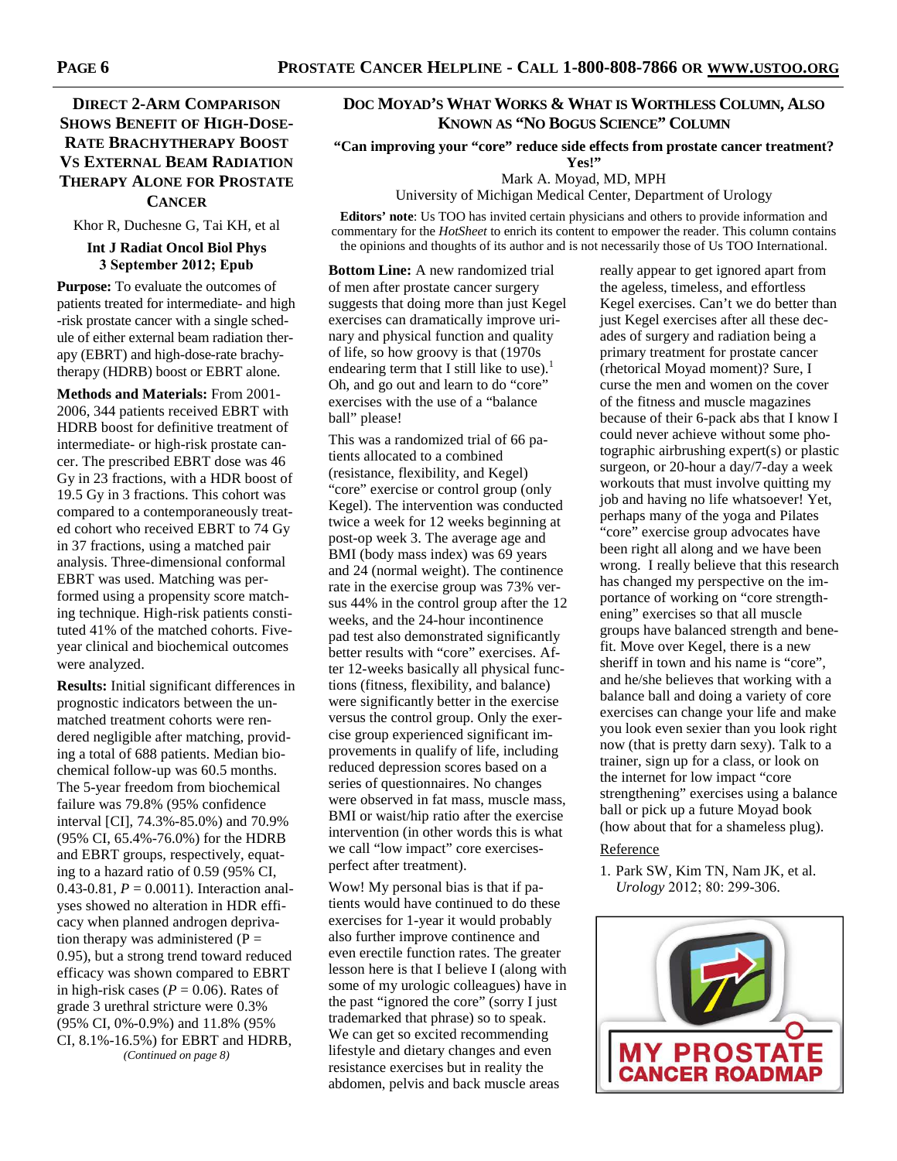# **DIRECT 2-ARM COMPARISON SHOWS BENEFIT OF HIGH-DOSE-RATE BRACHYTHERAPY BOOST VS EXTERNAL BEAM RADIATION THERAPY ALONE FOR PROSTATE CANCER**

Khor R, Duchesne G, Tai KH, et al

#### **Int J Radiat Oncol Biol Phys 3 September 2012; Epub**

**Purpose:** To evaluate the outcomes of patients treated for intermediate- and high -risk prostate cancer with a single schedule of either external beam radiation therapy (EBRT) and high-dose-rate brachytherapy (HDRB) boost or EBRT alone.

**Methods and Materials:** From 2001- 2006, 344 patients received EBRT with HDRB boost for definitive treatment of intermediate- or high-risk prostate cancer. The prescribed EBRT dose was 46 Gy in 23 fractions, with a HDR boost of 19.5 Gy in 3 fractions. This cohort was compared to a contemporaneously treated cohort who received EBRT to 74 Gy in 37 fractions, using a matched pair analysis. Three-dimensional conformal EBRT was used. Matching was performed using a propensity score matching technique. High-risk patients constituted 41% of the matched cohorts. Fiveyear clinical and biochemical outcomes were analyzed.

**Results:** Initial significant differences in prognostic indicators between the unmatched treatment cohorts were rendered negligible after matching, providing a total of 688 patients. Median biochemical follow-up was 60.5 months. The 5-year freedom from biochemical failure was 79.8% (95% confidence interval [CI], 74.3%-85.0%) and 70.9% (95% CI, 65.4%-76.0%) for the HDRB and EBRT groups, respectively, equating to a hazard ratio of 0.59 (95% CI, 0.43-0.81, *P* = 0.0011). Interaction analyses showed no alteration in HDR efficacy when planned androgen deprivation therapy was administered  $(P =$ 0.95), but a strong trend toward reduced efficacy was shown compared to EBRT in high-risk cases ( $P = 0.06$ ). Rates of grade 3 urethral stricture were 0.3% (95% CI, 0%-0.9%) and 11.8% (95% CI, 8.1%-16.5%) for EBRT and HDRB, *(Continued on page 8)* 

# **DOC MOYAD'S WHAT WORKS & WHAT IS WORTHLESS COLUMN, ALSO KNOWN AS "NO BOGUS SCIENCE" COLUMN**

**"Can improving your "core" reduce side effects from prostate cancer treatment? Yes!"** 

Mark A. Moyad, MD, MPH

University of Michigan Medical Center, Department of Urology

**Editors' note**: Us TOO has invited certain physicians and others to provide information and commentary for the *HotSheet* to enrich its content to empower the reader. This column contains the opinions and thoughts of its author and is not necessarily those of Us TOO International.

**Bottom Line:** A new randomized trial of men after prostate cancer surgery suggests that doing more than just Kegel exercises can dramatically improve urinary and physical function and quality of life, so how groovy is that (1970s endearing term that I still like to use).<sup>1</sup> Oh, and go out and learn to do "core" exercises with the use of a "balance ball" please!

This was a randomized trial of 66 patients allocated to a combined (resistance, flexibility, and Kegel) "core" exercise or control group (only Kegel). The intervention was conducted twice a week for 12 weeks beginning at post-op week 3. The average age and BMI (body mass index) was 69 years and 24 (normal weight). The continence rate in the exercise group was 73% versus 44% in the control group after the 12 weeks, and the 24-hour incontinence pad test also demonstrated significantly better results with "core" exercises. After 12-weeks basically all physical functions (fitness, flexibility, and balance) were significantly better in the exercise versus the control group. Only the exercise group experienced significant improvements in qualify of life, including reduced depression scores based on a series of questionnaires. No changes were observed in fat mass, muscle mass, BMI or waist/hip ratio after the exercise intervention (in other words this is what we call "low impact" core exercisesperfect after treatment).

Wow! My personal bias is that if patients would have continued to do these exercises for 1-year it would probably also further improve continence and even erectile function rates. The greater lesson here is that I believe I (along with some of my urologic colleagues) have in the past "ignored the core" (sorry I just trademarked that phrase) so to speak. We can get so excited recommending lifestyle and dietary changes and even resistance exercises but in reality the abdomen, pelvis and back muscle areas

really appear to get ignored apart from the ageless, timeless, and effortless Kegel exercises. Can't we do better than just Kegel exercises after all these decades of surgery and radiation being a primary treatment for prostate cancer (rhetorical Moyad moment)? Sure, I curse the men and women on the cover of the fitness and muscle magazines because of their 6-pack abs that I know I could never achieve without some photographic airbrushing expert(s) or plastic surgeon, or 20-hour a day/7-day a week workouts that must involve quitting my job and having no life whatsoever! Yet, perhaps many of the yoga and Pilates "core" exercise group advocates have been right all along and we have been wrong. I really believe that this research has changed my perspective on the importance of working on "core strengthening" exercises so that all muscle groups have balanced strength and benefit. Move over Kegel, there is a new sheriff in town and his name is "core", and he/she believes that working with a balance ball and doing a variety of core exercises can change your life and make you look even sexier than you look right now (that is pretty darn sexy). Talk to a trainer, sign up for a class, or look on the internet for low impact "core strengthening" exercises using a balance ball or pick up a future Moyad book (how about that for a shameless plug).

#### Reference

1. Park SW, Kim TN, Nam JK, et al. *Urology* 2012; 80: 299-306.

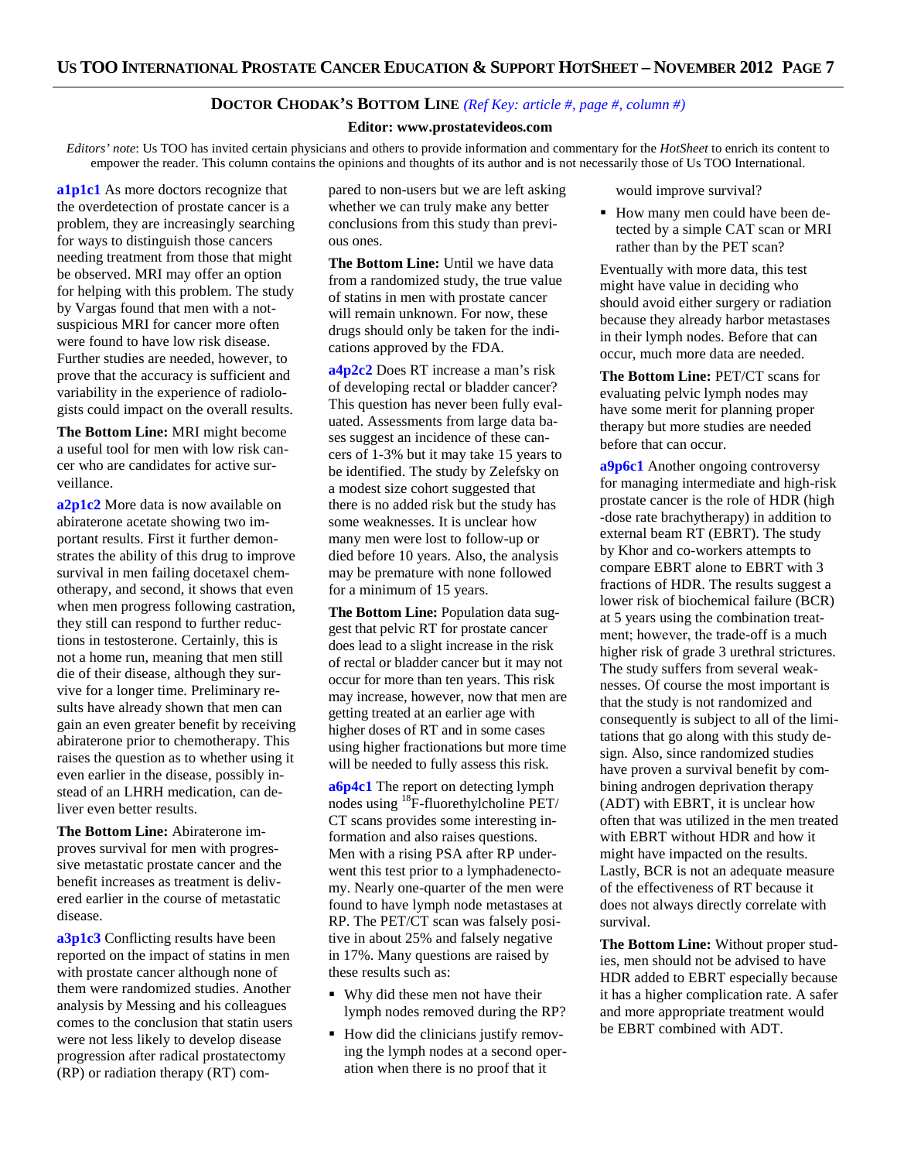# **DOCTOR CHODAK'S BOTTOM LINE** *(Ref Key: article #, page #, column #)*

#### **Editor: www.prostatevideos.com**

*Editors' note*: Us TOO has invited certain physicians and others to provide information and commentary for the *HotSheet* to enrich its content to empower the reader. This column contains the opinions and thoughts of its author and is not necessarily those of Us TOO International.

**a1p1c1** As more doctors recognize that the overdetection of prostate cancer is a problem, they are increasingly searching for ways to distinguish those cancers needing treatment from those that might be observed. MRI may offer an option for helping with this problem. The study by Vargas found that men with a notsuspicious MRI for cancer more often were found to have low risk disease. Further studies are needed, however, to prove that the accuracy is sufficient and variability in the experience of radiologists could impact on the overall results.

**The Bottom Line:** MRI might become a useful tool for men with low risk cancer who are candidates for active surveillance.

**a2p1c2** More data is now available on abiraterone acetate showing two important results. First it further demonstrates the ability of this drug to improve survival in men failing docetaxel chemotherapy, and second, it shows that even when men progress following castration, they still can respond to further reductions in testosterone. Certainly, this is not a home run, meaning that men still die of their disease, although they survive for a longer time. Preliminary results have already shown that men can gain an even greater benefit by receiving abiraterone prior to chemotherapy. This raises the question as to whether using it even earlier in the disease, possibly instead of an LHRH medication, can deliver even better results.

**The Bottom Line:** Abiraterone improves survival for men with progressive metastatic prostate cancer and the benefit increases as treatment is delivered earlier in the course of metastatic disease.

**a3p1c3** Conflicting results have been reported on the impact of statins in men with prostate cancer although none of them were randomized studies. Another analysis by Messing and his colleagues comes to the conclusion that statin users were not less likely to develop disease progression after radical prostatectomy (RP) or radiation therapy (RT) compared to non-users but we are left asking whether we can truly make any better conclusions from this study than previous ones.

**The Bottom Line:** Until we have data from a randomized study, the true value of statins in men with prostate cancer will remain unknown. For now, these drugs should only be taken for the indications approved by the FDA.

**a4p2c2** Does RT increase a man's risk of developing rectal or bladder cancer? This question has never been fully evaluated. Assessments from large data bases suggest an incidence of these cancers of 1-3% but it may take 15 years to be identified. The study by Zelefsky on a modest size cohort suggested that there is no added risk but the study has some weaknesses. It is unclear how many men were lost to follow-up or died before 10 years. Also, the analysis may be premature with none followed for a minimum of 15 years.

**The Bottom Line:** Population data suggest that pelvic RT for prostate cancer does lead to a slight increase in the risk of rectal or bladder cancer but it may not occur for more than ten years. This risk may increase, however, now that men are getting treated at an earlier age with higher doses of RT and in some cases using higher fractionations but more time will be needed to fully assess this risk.

**a6p4c1** The report on detecting lymph nodes using <sup>18</sup>F-fluorethylcholine PET/ CT scans provides some interesting information and also raises questions. Men with a rising PSA after RP underwent this test prior to a lymphadenectomy. Nearly one-quarter of the men were found to have lymph node metastases at RP. The PET/CT scan was falsely positive in about 25% and falsely negative in 17%. Many questions are raised by these results such as:

- Why did these men not have their lymph nodes removed during the RP?
- How did the clinicians justify removing the lymph nodes at a second operation when there is no proof that it

would improve survival?

 How many men could have been detected by a simple CAT scan or MRI rather than by the PET scan?

Eventually with more data, this test might have value in deciding who should avoid either surgery or radiation because they already harbor metastases in their lymph nodes. Before that can occur, much more data are needed.

**The Bottom Line:** PET/CT scans for evaluating pelvic lymph nodes may have some merit for planning proper therapy but more studies are needed before that can occur.

**a9p6c1** Another ongoing controversy for managing intermediate and high-risk prostate cancer is the role of HDR (high -dose rate brachytherapy) in addition to external beam RT (EBRT). The study by Khor and co-workers attempts to compare EBRT alone to EBRT with 3 fractions of HDR. The results suggest a lower risk of biochemical failure (BCR) at 5 years using the combination treatment; however, the trade-off is a much higher risk of grade 3 urethral strictures. The study suffers from several weaknesses. Of course the most important is that the study is not randomized and consequently is subject to all of the limitations that go along with this study design. Also, since randomized studies have proven a survival benefit by combining androgen deprivation therapy (ADT) with EBRT, it is unclear how often that was utilized in the men treated with EBRT without HDR and how it might have impacted on the results. Lastly, BCR is not an adequate measure of the effectiveness of RT because it does not always directly correlate with survival.

**The Bottom Line:** Without proper studies, men should not be advised to have HDR added to EBRT especially because it has a higher complication rate. A safer and more appropriate treatment would be EBRT combined with ADT.